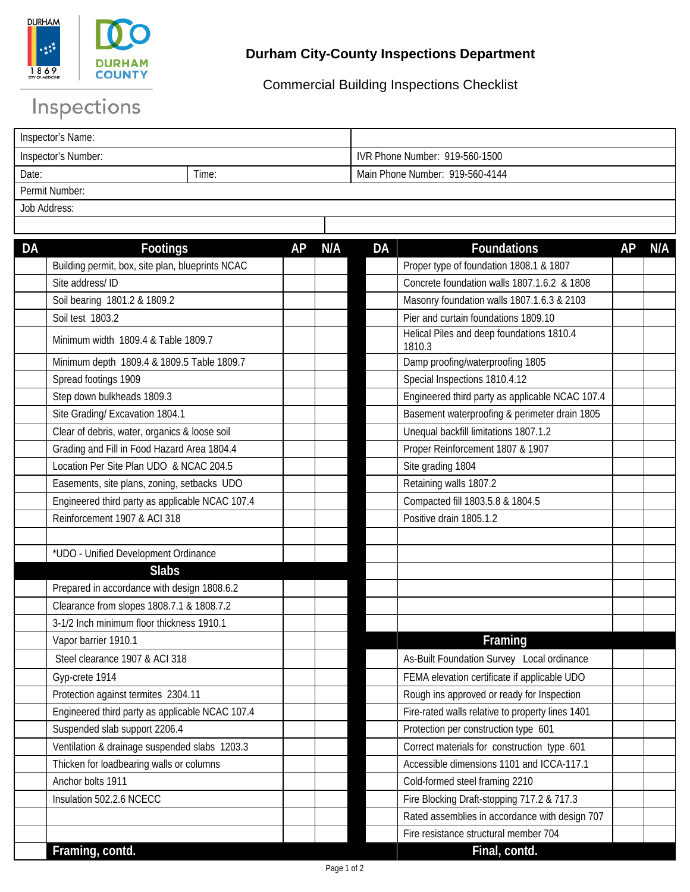

## **Durham City-County Inspections Department**

Commercial Building Inspections Checklist

## Inspections

| Inspector's Name:   |       |                                 |  |  |
|---------------------|-------|---------------------------------|--|--|
| Inspector's Number: |       | IVR Phone Number: 919-560-1500  |  |  |
| Date:               | ⊺ime: | Main Phone Number: 919-560-4144 |  |  |
| Permit Number:      |       |                                 |  |  |
| Job Address:        |       |                                 |  |  |

| <b>DA</b> | <b>Footings</b>                                  | AP | N/A | <b>DA</b> | <b>Foundations</b>                                  | AP | N/A |
|-----------|--------------------------------------------------|----|-----|-----------|-----------------------------------------------------|----|-----|
|           | Building permit, box, site plan, blueprints NCAC |    |     |           | Proper type of foundation 1808.1 & 1807             |    |     |
|           | Site address/ ID                                 |    |     |           | Concrete foundation walls 1807.1.6.2 & 1808         |    |     |
|           | Soil bearing 1801.2 & 1809.2                     |    |     |           | Masonry foundation walls 1807.1.6.3 & 2103          |    |     |
|           | Soil test 1803.2                                 |    |     |           | Pier and curtain foundations 1809.10                |    |     |
|           | Minimum width 1809.4 & Table 1809.7              |    |     |           | Helical Piles and deep foundations 1810.4<br>1810.3 |    |     |
|           | Minimum depth 1809.4 & 1809.5 Table 1809.7       |    |     |           | Damp proofing/waterproofing 1805                    |    |     |
|           | Spread footings 1909                             |    |     |           | Special Inspections 1810.4.12                       |    |     |
|           | Step down bulkheads 1809.3                       |    |     |           | Engineered third party as applicable NCAC 107.4     |    |     |
|           | Site Grading/ Excavation 1804.1                  |    |     |           | Basement waterproofing & perimeter drain 1805       |    |     |
|           | Clear of debris, water, organics & loose soil    |    |     |           | Unequal backfill limitations 1807.1.2               |    |     |
|           | Grading and Fill in Food Hazard Area 1804.4      |    |     |           | Proper Reinforcement 1807 & 1907                    |    |     |
|           | Location Per Site Plan UDO & NCAC 204.5          |    |     |           | Site grading 1804                                   |    |     |
|           | Easements, site plans, zoning, setbacks UDO      |    |     |           | Retaining walls 1807.2                              |    |     |
|           | Engineered third party as applicable NCAC 107.4  |    |     |           | Compacted fill 1803.5.8 & 1804.5                    |    |     |
|           | Reinforcement 1907 & ACI 318                     |    |     |           | Positive drain 1805.1.2                             |    |     |
|           |                                                  |    |     |           |                                                     |    |     |
|           | *UDO - Unified Development Ordinance             |    |     |           |                                                     |    |     |
|           | <b>Slabs</b>                                     |    |     |           |                                                     |    |     |
|           | Prepared in accordance with design 1808.6.2      |    |     |           |                                                     |    |     |
|           | Clearance from slopes 1808.7.1 & 1808.7.2        |    |     |           |                                                     |    |     |
|           | 3-1/2 Inch minimum floor thickness 1910.1        |    |     |           |                                                     |    |     |
|           | Vapor barrier 1910.1                             |    |     |           | Framing                                             |    |     |
|           | Steel clearance 1907 & ACI 318                   |    |     |           | As-Built Foundation Survey Local ordinance          |    |     |
|           | Gyp-crete 1914                                   |    |     |           | FEMA elevation certificate if applicable UDO        |    |     |
|           | Protection against termites 2304.11              |    |     |           | Rough ins approved or ready for Inspection          |    |     |
|           | Engineered third party as applicable NCAC 107.4  |    |     |           | Fire-rated walls relative to property lines 1401    |    |     |
|           | Suspended slab support 2206.4                    |    |     |           | Protection per construction type 601                |    |     |
|           | Ventilation & drainage suspended slabs 1203.3    |    |     |           | Correct materials for construction type 601         |    |     |
|           | Thicken for loadbearing walls or columns         |    |     |           | Accessible dimensions 1101 and ICCA-117.1           |    |     |
|           | Anchor bolts 1911                                |    |     |           | Cold-formed steel framing 2210                      |    |     |
|           | Insulation 502.2.6 NCECC                         |    |     |           | Fire Blocking Draft-stopping 717.2 & 717.3          |    |     |
|           |                                                  |    |     |           | Rated assemblies in accordance with design 707      |    |     |
|           |                                                  |    |     |           | Fire resistance structural member 704               |    |     |
|           | Framing, contd.                                  |    |     |           | Final, contd.                                       |    |     |